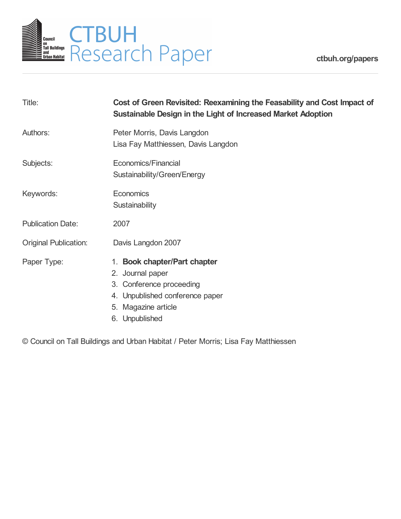

**[ctbuh.org/papers](http://ctbuh.org/papers)**

| Title:                       | Cost of Green Revisited: Reexamining the Feasability and Cost Impact of<br>Sustainable Design in the Light of Increased Market Adoption                  |
|------------------------------|----------------------------------------------------------------------------------------------------------------------------------------------------------|
| Authors:                     | Peter Morris, Davis Langdon<br>Lisa Fay Matthiessen, Davis Langdon                                                                                       |
| Subjects:                    | Economics/Financial<br>Sustainability/Green/Energy                                                                                                       |
| Keywords:                    | Economics<br>Sustainability                                                                                                                              |
| <b>Publication Date:</b>     | 2007                                                                                                                                                     |
| <b>Original Publication:</b> | Davis Langdon 2007                                                                                                                                       |
| Paper Type:                  | 1. Book chapter/Part chapter<br>2. Journal paper<br>3. Conference proceeding<br>4. Unpublished conference paper<br>5. Magazine article<br>6. Unpublished |

© Council on Tall Buildings and Urban Habitat / Peter Morris; Lisa Fay Matthiessen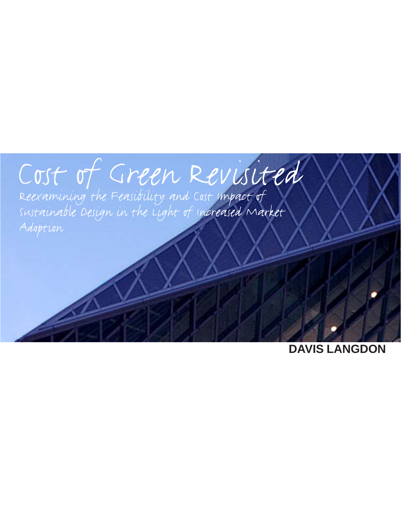# e<br>A I

Adoption

**DAVIS LANGDON**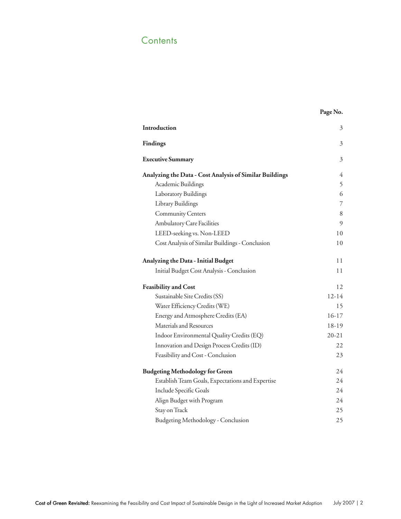# **Contents**

## **Page No.**

| Introduction                                            | 3<br>3<br>3    |
|---------------------------------------------------------|----------------|
| <b>Findings</b>                                         |                |
| <b>Executive Summary</b>                                |                |
| Analyzing the Data - Cost Analysis of Similar Buildings | 4              |
| Academic Buildings                                      | 5              |
| Laboratory Buildings                                    | 6              |
| Library Buildings                                       | $\overline{7}$ |
| Community Centers                                       | 8              |
| Ambulatory Care Facilities                              | 9              |
| LEED-seeking vs. Non-LEED                               | 10             |
| Cost Analysis of Similar Buildings - Conclusion         | 10             |
| Analyzing the Data - Initial Budget                     | 11             |
| Initial Budget Cost Analysis - Conclusion               | 11             |
| <b>Feasibility and Cost</b>                             | 12             |
| Sustainable Site Credits (SS)                           | 12-14          |
| Water Efficiency Credits (WE)                           | 15             |
| Energy and Atmosphere Credits (EA)                      | $16-17$        |
| Materials and Resources                                 | 18-19          |
| Indoor Environmental Quality Credits (EQ)               | $20 - 21$      |
| Innovation and Design Process Credits (ID)              | 22             |
| Feasibility and Cost - Conclusion                       | 23             |
| <b>Budgeting Methodology for Green</b>                  | 24             |
| Establish Team Goals, Expectations and Expertise        | 24             |
| Include Specific Goals                                  | 24             |
| Align Budget with Program                               | 24             |
| Stay on Track                                           | 25             |
| <b>Budgeting Methodology - Conclusion</b>               | 25             |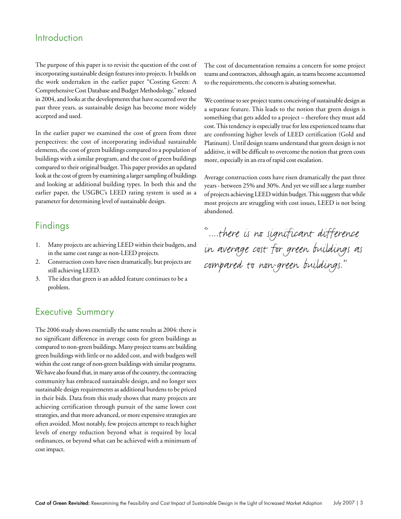# Introduction

The purpose of this paper is to revisit the question of the cost of incorporating sustainable design features into projects. It builds on the work undertaken in the earlier paper "Costing Green: A Comprehensive Cost Database and Budget Methodology," released in 2004, and looks at the developments that have occurred over the past three years, as sustainable design has become more widely accepted and used.

In the earlier paper we examined the cost of green from three perspectives: the cost of incorporating individual sustainable elements, the cost of green buildings compared to a population of buildings with a similar program, and the cost of green buildings compared to their original budget. This paper provides an updated look at the cost of green by examining a larger sampling of buildings and looking at additional building types. In both this and the earlier paper, the USGBC's LEED rating system is used as a parameter for determining level of sustainable design.

# Findings

- 1. Many projects are achieving LEED within their budgets, and in the same cost range as non-LEED projects.
- 2. Construction costs have risen dramatically, but projects are still achieving LEED.
- 3. The idea that green is an added feature continues to be a problem.

# Executive Summary

The 2006 study shows essentially the same results as 2004: there is no significant difference in average costs for green buildings as compared to non-green buildings. Many project teams are building green buildings with little or no added cost, and with budgets well within the cost range of non-green buildings with similar programs. We have also found that, in many areas of the country, the contracting community has embraced sustainable design, and no longer sees sustainable design requirements as additional burdens to be priced in their bids. Data from this study shows that many projects are achieving certification through pursuit of the same lower cost strategies, and that more advanced, or more expensive strategies are often avoided. Most notably, few projects attempt to reach higher levels of energy reduction beyond what is required by local ordinances, or beyond what can be achieved with a minimum of cost impact.

The cost of documentation remains a concern for some project teams and contractors, although again, as teams become accustomed to the requirements, the concern is abating somewhat.

We continue to see project teams conceiving of sustainable design as a separate feature. This leads to the notion that green design is something that gets added to a project – therefore they must add cost. This tendency is especially true for less experienced teams that are confronting higher levels of LEED certification (Gold and Platinum). Until design teams understand that green design is not additive, it will be difficult to overcome the notion that green costs more, especially in an era of rapid cost escalation.

Average construction costs have risen dramatically the past three years - between 25% and 30%. And yet we still see a large number of projects achieving LEED within budget. This suggests that while most projects are struggling with cost issues, LEED is not being abandoned.

"....there is no significant difference in average cost for green buildings as compared to non-green buildings."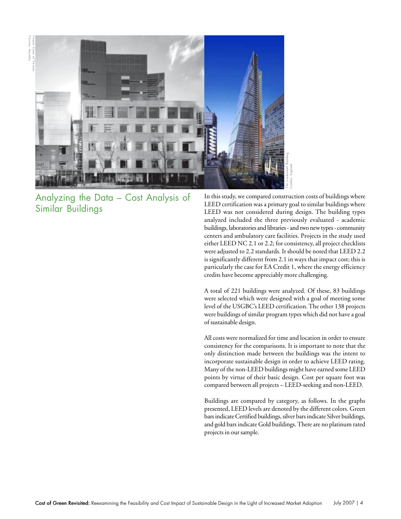Victoria, Australia County Court of Victoria



Analyzing the Data – Cost Analysis of Similar Buildings

In this study, we compared construction costs of buildings where LEED certification was a primary goal to similar buildings where LEED was not considered during design. The building types analyzed included the three previously evaluated - academic buildings, laboratories and libraries - and two new types - community centers and ambulatory care facilities. Projects in the study used either LEED NC 2.1 or 2.2; for consistency, all project checklists were adjusted to 2.2 standards. It should be noted that LEED 2.2 is significantly different from 2.1 in ways that impact cost; this is particularly the case for EA Credit 1, where the energy efficiency credits have become appreciably more challenging.

A total of 221 buildings were analyzed. Of these, 83 buildings were selected which were designed with a goal of meeting some level of the USGBC's LEED certification. The other 138 projects were buildings of similar program types which did not have a goal of sustainable design.

All costs were normalized for time and location in order to ensure consistency for the comparisons. It is important to note that the only distinction made between the buildings was the intent to incorporate sustainable design in order to achieve LEED rating. Many of the non-LEED buildings might have earned some LEED points by virtue of their basic design. Cost per square foot was compared between all projects – LEED-seeking and non-LEED.

Buildings are compared by category, as follows. In the graphs presented, LEED levels are denoted by the different colors. Green bars indicate Certified buildings, silver bars indicate Silver buildings, and gold bars indicate Gold buildings. There are no platinum rated projects in our sample.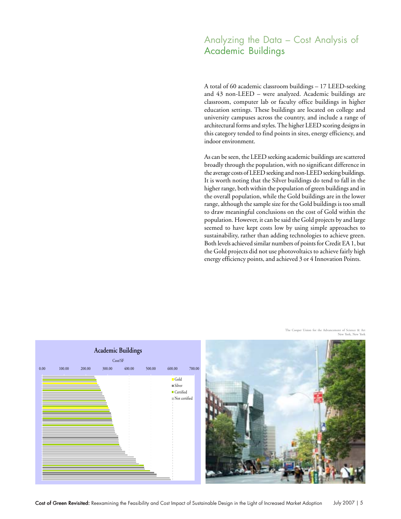# Analyzing the Data – Cost Analysis of Academic Buildings

A total of 60 academic classroom buildings – 17 LEED-seeking and 43 non-LEED – were analyzed. Academic buildings are classroom, computer lab or faculty office buildings in higher education settings. These buildings are located on college and university campuses across the country, and include a range of architectural forms and styles. The higher LEED scoring designs in this category tended to find points in sites, energy efficiency, and indoor environment.

As can be seen, the LEED seeking academic buildings are scattered broadly through the population, with no significant difference in the average costs of LEED seeking and non-LEED seeking buildings. It is worth noting that the Silver buildings do tend to fall in the higher range, both within the population of green buildings and in the overall population, while the Gold buildings are in the lower range, although the sample size for the Gold buildings is too small to draw meaningful conclusions on the cost of Gold within the population. However, it can be said the Gold projects by and large seemed to have kept costs low by using simple approaches to sustainability, rather than adding technologies to achieve green. Both levels achieved similar numbers of points for Credit EA 1, but the Gold projects did not use photovoltaics to achieve fairly high energy efficiency points, and achieved 3 or 4 Innovation Points.



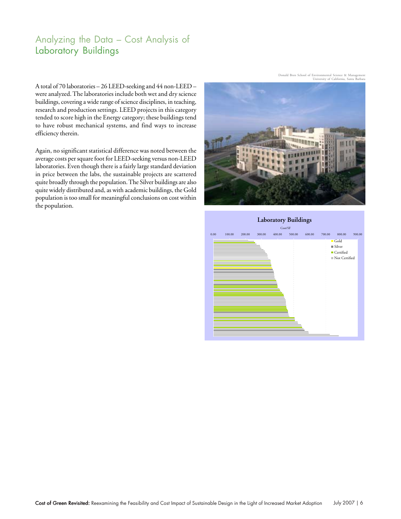# Analyzing the Data – Cost Analysis of Laboratory Buildings

A total of 70 laboratories – 26 LEED-seeking and 44 non-LEED – were analyzed. The laboratories include both wet and dry science buildings, covering a wide range of science disciplines, in teaching, research and production settings. LEED projects in this category tended to score high in the Energy category; these buildings tend to have robust mechanical systems, and find ways to increase efficiency therein.

Again, no significant statistical difference was noted between the average costs per square foot for LEED-seeking versus non-LEED laboratories. Even though there is a fairly large standard deviation in price between the labs, the sustainable projects are scattered quite broadly through the population. The Silver buildings are also quite widely distributed and, as with academic buildings, the Gold population is too small for meaningful conclusions on cost within the population.



Donald Bren School of Environmental Science & Management University of California, Santa Barbara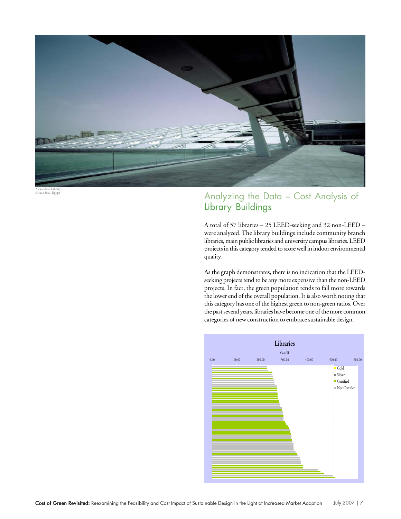

Alexandria Library Alexandria, Egypt

# Analyzing the Data – Cost Analysis of Library Buildings

A total of 57 libraries – 25 LEED-seeking and 32 non-LEED – were analyzed. The library buildings include community branch libraries, main public libraries and university campus libraries. LEED projects in this category tended to score well in indoor environmental quality.

As the graph demonstrates, there is no indication that the LEEDseeking projects tend to be any more expensive than the non-LEED projects. In fact, the green population tends to fall more towards the lower end of the overall population. It is also worth noting that this category has one of the highest green to non-green ratios. Over the past several years, libraries have become one of the more common categories of new construction to embrace sustainable design.

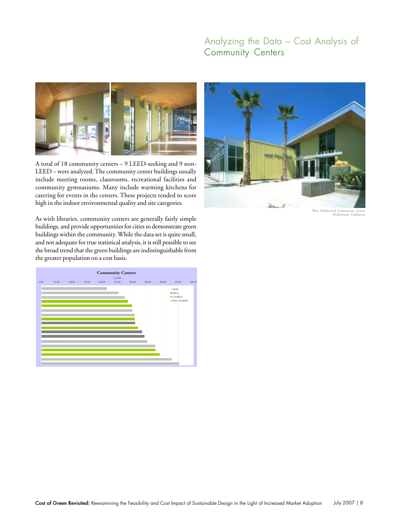# Analyzing the Data – Cost Analysis of Community Centers



A total of 18 community centers – 9 LEED-seeking and 9 non-LEED – were analyzed. The community center buildings usually include meeting rooms, classrooms, recreational facilities and community gymnasiums. Many include warming kitchens for catering for events in the centers. These projects tended to score high in the indoor environmental quality and site categories.



West Hollywood Community Center Hollywood, California

As with libraries, community centers are generally fairly simple buildings, and provide opportunities for cities to demonstrate green buildings within the community. While the data set is quite small, and not adequate for true statistical analysis, it is still possible to see the broad trend that the green buildings are indistinguishable from the greater population on a cost basis.

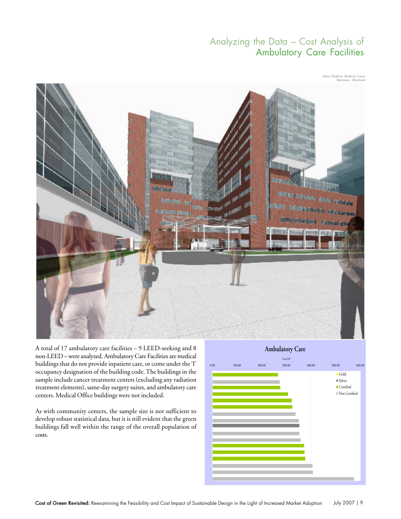# Analyzing the Data – Cost Analysis of Ambulatory Care Facilities

Johns Hopkins Medical Center Baltimore, Maryland



A total of 17 ambulatory care facilities – 9 LEED-seeking and 8 non-LEED – were analyzed. Ambulatory Care Facilities are medical buildings that do not provide inpatient care, or come under the 'I' occupancy designation of the building code. The buildings in the sample include cancer treatment centers (excluding any radiation treatment elements), same-day surgery suites, and ambulatory care centers. Medical Office buildings were not included.

As with community centers, the sample size is not sufficient to develop robust statistical data, but it is still evident that the green buildings fall well within the range of the overall population of costs.



Cost of Green Revisited: Reexamining the Feasibility and Cost Impact of Sustainable Design in the Light of Increased Market Adoption July 2007 | 9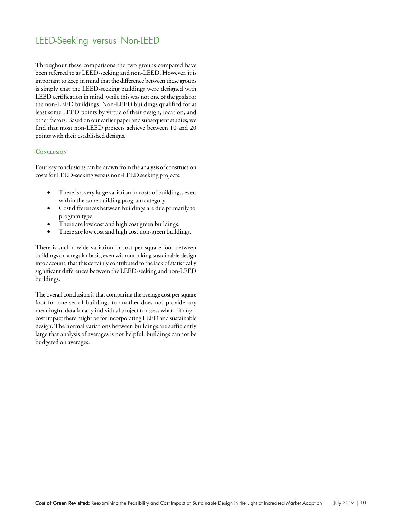# LEED-Seeking versus Non-LEED

Throughout these comparisons the two groups compared have been referred to as LEED-seeking and non-LEED. However, it is important to keep in mind that the difference between these groups is simply that the LEED-seeking buildings were designed with LEED certification in mind, while this was not one of the goals for the non-LEED buildings. Non-LEED buildings qualified for at least some LEED points by virtue of their design, location, and other factors. Based on our earlier paper and subsequent studies, we find that most non-LEED projects achieve between 10 and 20 points with their established designs.

## **CONCLUSION**

Four key conclusions can be drawn from the analysis of construction costs for LEED-seeking versus non-LEED seeking projects:

- There is a very large variation in costs of buildings, even within the same building program category.
- Cost differences between buildings are due primarily to program type.
- There are low cost and high cost green buildings.
- There are low cost and high cost non-green buildings.

There is such a wide variation in cost per square foot between buildings on a regular basis, even without taking sustainable design into account, that this certainly contributed to the lack of statistically significant differences between the LEED-seeking and non-LEED buildings.

The overall conclusion is that comparing the average cost per square foot for one set of buildings to another does not provide any meaningful data for any individual project to assess what – if any – cost impact there might be for incorporating LEED and sustainable design. The normal variations between buildings are sufficiently large that analysis of averages is not helpful; buildings cannot be budgeted on averages.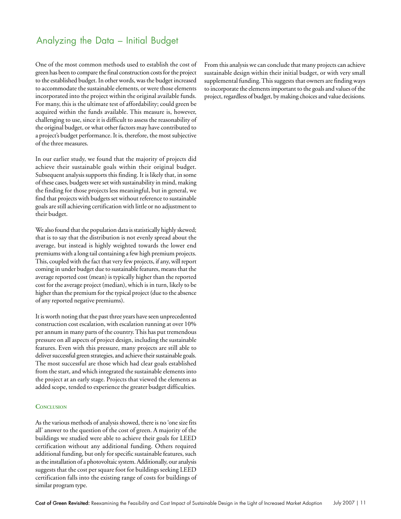# Analyzing the Data – Initial Budget

One of the most common methods used to establish the cost of green has been to compare the final construction costs for the project to the established budget. In other words, was the budget increased to accommodate the sustainable elements, or were those elements incorporated into the project within the original available funds. For many, this is the ultimate test of affordability; could green be acquired within the funds available. This measure is, however, challenging to use, since it is difficult to assess the reasonability of the original budget, or what other factors may have contributed to a project's budget performance. It is, therefore, the most subjective of the three measures.

In our earlier study, we found that the majority of projects did achieve their sustainable goals within their original budget. Subsequent analysis supports this finding. It is likely that, in some of these cases, budgets were set with sustainability in mind, making the finding for those projects less meaningful, but in general, we find that projects with budgets set without reference to sustainable goals are still achieving certification with little or no adjustment to their budget.

We also found that the population data is statistically highly skewed; that is to say that the distribution is not evenly spread about the average, but instead is highly weighted towards the lower end premiums with a long tail containing a few high premium projects. This, coupled with the fact that very few projects, if any, will report coming in under budget due to sustainable features, means that the average reported cost (mean) is typically higher than the reported cost for the average project (median), which is in turn, likely to be higher than the premium for the typical project (due to the absence of any reported negative premiums).

It is worth noting that the past three years have seen unprecedented construction cost escalation, with escalation running at over 10% per annum in many parts of the country. This has put tremendous pressure on all aspects of project design, including the sustainable features. Even with this pressure, many projects are still able to deliver successful green strategies, and achieve their sustainable goals. The most successful are those which had clear goals established from the start, and which integrated the sustainable elements into the project at an early stage. Projects that viewed the elements as added scope, tended to experience the greater budget difficulties.

#### **CONCLUSION**

As the various methods of analysis showed, there is no 'one size fits all' answer to the question of the cost of green. A majority of the buildings we studied were able to achieve their goals for LEED certification without any additional funding. Others required additional funding, but only for specific sustainable features, such as the installation of a photovoltaic system. Additionally, our analysis suggests that the cost per square foot for buildings seeking LEED certification falls into the existing range of costs for buildings of similar program type.

From this analysis we can conclude that many projects can achieve sustainable design within their initial budget, or with very small supplemental funding. This suggests that owners are finding ways to incorporate the elements important to the goals and values of the project, regardless of budget, by making choices and value decisions.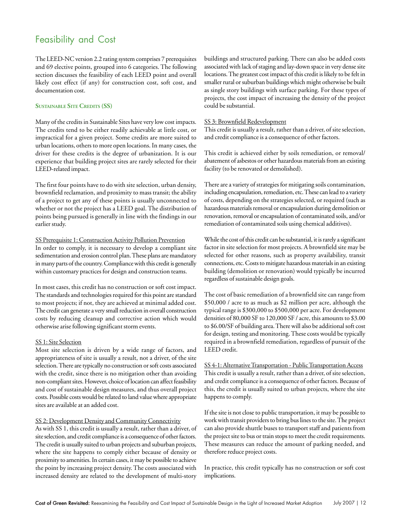# Feasibility and Cost

The LEED-NC version 2.2 rating system comprises 7 prerequisites and 69 elective points, grouped into 6 categories. The following section discusses the feasibility of each LEED point and overall likely cost effect (if any) for construction cost, soft cost, and documentation cost.

## **SUSTAINABLE SITE CREDITS (SS)**

Many of the credits in Sustainable Sites have very low cost impacts. The credits tend to be either readily achievable at little cost, or impractical for a given project. Some credits are more suited to urban locations, others to more open locations. In many cases, the driver for these credits is the degree of urbanization. It is our experience that building project sites are rarely selected for their LEED-related impact.

The first four points have to do with site selection, urban density, brownfield reclamation, and proximity to mass transit; the ability of a project to get any of these points is usually unconnected to whether or not the project has a LEED goal. The distribution of points being pursued is generally in line with the findings in our earlier study.

#### SS Prerequisite 1: Construction Activity Pollution Prevention

In order to comply, it is necessary to develop a compliant site sedimentation and erosion control plan. These plans are mandatory in many parts of the country. Compliance with this credit is generally within customary practices for design and construction teams.

In most cases, this credit has no construction or soft cost impact. The standards and technologies required for this point are standard to most projects; if not, they are achieved at minimal added cost. The credit can generate a very small reduction in overall construction costs by reducing cleanup and corrective action which would otherwise arise following significant storm events.

#### SS 1: Site Selection

Most site selection is driven by a wide range of factors, and appropriateness of site is usually a result, not a driver, of the site selection. There are typically no construction or soft costs associated with the credit, since there is no mitigation other than avoiding non-compliant sites. However, choice of location can affect feasibility and cost of sustainable design measures, and thus overall project costs. Possible costs would be related to land value where appropriate sites are available at an added cost.

#### SS 2: Development Density and Community Connectivity

As with SS 1, this credit is usually a result, rather than a driver, of site selection, and credit compliance is a consequence of other factors. The credit is usually suited to urban projects and suburban projects, where the site happens to comply either because of density or proximity to amenities. In certain cases, it may be possible to achieve the point by increasing project density. The costs associated with increased density are related to the development of multi-story

buildings and structured parking. There can also be added costs associated with lack of staging and lay-down space in very dense site locations. The greatest cost impact of this credit is likely to be felt in smaller rural or suburban buildings which might otherwise be built as single story buildings with surface parking. For these types of projects, the cost impact of increasing the density of the project could be substantial.

#### SS 3: Brownfield Redevelopment

This credit is usually a result, rather than a driver, of site selection, and credit compliance is a consequence of other factors.

This credit is achieved either by soils remediation, or removal/ abatement of asbestos or other hazardous materials from an existing facility (to be renovated or demolished).

There are a variety of strategies for mitigating soils contamination, including encapsulation, remediation, etc. These can lead to a variety of costs, depending on the strategies selected, or required (such as hazardous materials removal or encapsulation during demolition or renovation, removal or encapsulation of contaminated soils, and/or remediation of contaminated soils using chemical additives).

While the cost of this credit can be substantial, it is rarely a significant factor in site selection for most projects. A brownfield site may be selected for other reasons, such as property availability, transit connections, etc. Costs to mitigate hazardous materials in an existing building (demolition or renovation) would typically be incurred regardless of sustainable design goals.

The cost of basic remediation of a brownfield site can range from \$50,000 / acre to as much as \$2 million per acre, although the typical range is \$300,000 to \$500,000 per acre. For development densities of 80,000 SF to 120,000 SF / acre, this amounts to \$3.00 to \$6.00/SF of building area. There will also be additional soft cost for design, testing and monitoring. These costs would be typically required in a brownfield remediation, regardless of pursuit of the LEED credit.

SS 4-1: Alternative Transportation - Public Transportation Access This credit is usually a result, rather than a driver, of site selection, and credit compliance is a consequence of other factors. Because of this, the credit is usually suited to urban projects, where the site happens to comply.

If the site is not close to public transportation, it may be possible to work with transit providers to bring bus lines to the site. The project can also provide shuttle buses to transport staff and patients from the project site to bus or train stops to meet the credit requirements. These measures can reduce the amount of parking needed, and therefore reduce project costs.

In practice, this credit typically has no construction or soft cost implications.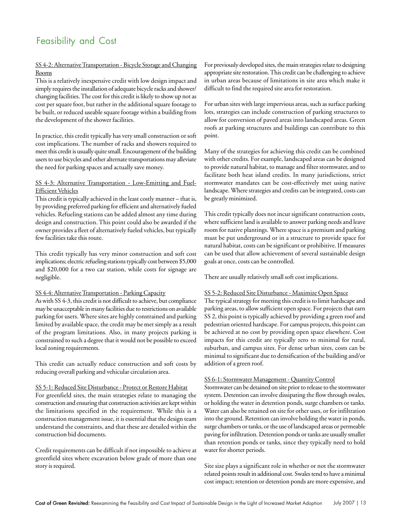# Feasibility and Cost

## SS 4-2: Alternative Transportation - Bicycle Storage and Changing Rooms

This is a relatively inexpensive credit with low design impact and simply requires the installation of adequate bicycle racks and shower/ changing facilities. The cost for this credit is likely to show up not as cost per square foot, but rather in the additional square footage to be built, or reduced useable square footage within a building from the development of the shower facilities.

In practice, this credit typically has very small construction or soft cost implications. The number of racks and showers required to meet this credit is usually quite small. Encouragement of the building users to use bicycles and other alternate transportations may alleviate the need for parking spaces and actually save money.

## SS 4-3: Alternative Transportation - Low-Emitting and Fuel-Efficient Vehicles

This credit is typically achieved in the least costly manner – that is, by providing preferred parking for efficient and alternatively fueled vehicles. Refueling stations can be added almost any time during design and construction. This point could also be awarded if the owner provides a fleet of alternatively fueled vehicles, but typically few facilities take this route.

This credit typically has very minor construction and soft cost implications; electric refueling stations typically cost between \$5,000 and \$20,000 for a two car station, while costs for signage are negligible.

## SS 4-4: Alternative Transportation - Parking Capacity

As with SS 4-3, this credit is not difficult to achieve, but compliance may be unacceptable in many facilities due to restrictions on available parking for users. Where sites are highly constrained and parking limited by available space, the credit may be met simply as a result of the program limitations. Also, in many projects parking is constrained to such a degree that it would not be possible to exceed local zoning requirements.

This credit can actually reduce construction and soft costs by reducing overall parking and vehicular circulation area.

## SS 5-1: Reduced Site Disturbance - Protect or Restore Habitat

For greenfield sites, the main strategies relate to managing the construction and ensuring that construction activities are kept within the limitations specified in the requirement. While this is a construction management issue, it is essential that the design team understand the constraints, and that these are detailed within the construction bid documents.

Credit requirements can be difficult if not impossible to achieve at greenfield sites where excavation below grade of more than one story is required.

For previously developed sites, the main strategies relate to designing appropriate site restoration. This credit can be challenging to achieve in urban areas because of limitations in site area which make it difficult to find the required site area for restoration.

For urban sites with large impervious areas, such as surface parking lots, strategies can include construction of parking structures to allow for conversion of paved areas into landscaped areas. Green roofs at parking structures and buildings can contribute to this point.

Many of the strategies for achieving this credit can be combined with other credits. For example, landscaped areas can be designed to provide natural habitat, to manage and filter stormwater, and to facilitate both heat island credits. In many jurisdictions, strict stormwater mandates can be cost-effectively met using native landscape. Where strategies and credits can be integrated, costs can be greatly minimized.

This credit typically does not incur significant construction costs, where sufficient land is available to answer parking needs and leave room for native plantings. Where space is a premium and parking must be put underground or in a structure to provide space for natural habitat, costs can be significant or prohibitive. If measures can be used that allow achievement of several sustainable design goals at once, costs can be controlled.

There are usually relatively small soft cost implications.

## SS 5-2: Reduced Site Disturbance - Maximize Open Space

The typical strategy for meeting this credit is to limit hardscape and parking areas, to allow sufficient open space. For projects that earn SS 2, this point is typically achieved by providing a green roof and pedestrian oriented hardscape. For campus projects, this point can be achieved at no cost by providing open space elsewhere. Cost impacts for this credit are typically zero to minimal for rural, suburban, and campus sites. For dense urban sites, costs can be minimal to significant due to densification of the building and/or addition of a green roof.

## SS 6-1: Stormwater Management - Quantity Control

Stormwater can be detained on site prior to release to the stormwater system. Detention can involve dissipating the flow through swales, or holding the water in detention ponds, surge chambers or tanks. Water can also be retained on site for other uses, or for infiltration into the ground. Retention can involve holding the water in ponds, surge chambers or tanks, or the use of landscaped areas or permeable paving for infiltration. Detention ponds or tanks are usually smaller than retention ponds or tanks, since they typically need to hold water for shorter periods.

Site size plays a significant role in whether or not the stormwater related points result in additional cost. Swales tend to have a minimal cost impact; retention or detention ponds are more expensive, and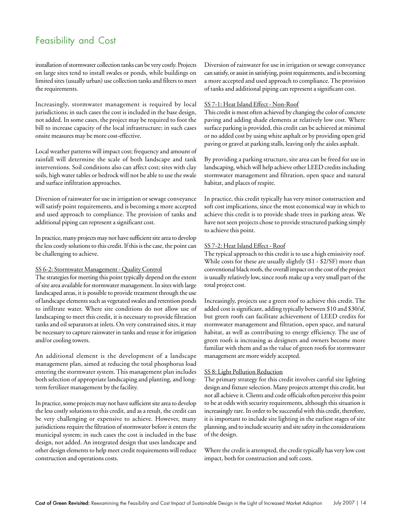# Feasibility and Cost

installation of stormwater collection tanks can be very costly. Projects on large sites tend to install swales or ponds, while buildings on limited sites (usually urban) use collection tanks and filters to meet the requirements.

Increasingly, stormwater management is required by local jurisdictions; in such cases the cost is included in the base design, not added. In some cases, the project may be required to foot the bill to increase capacity of the local infrastructure; in such cases onsite measures may be more cost-effective.

Local weather patterns will impact cost; frequency and amount of rainfall will determine the scale of both landscape and tank interventions. Soil conditions also can affect cost; sites with clay soils, high water tables or bedrock will not be able to use the swale and surface infiltration approaches.

Diversion of rainwater for use in irrigation or sewage conveyance will satisfy point requirements, and is becoming a more accepted and used approach to compliance. The provision of tanks and additional piping can represent a significant cost.

In practice, many projects may not have sufficient site area to develop the less costly solutions to this credit. If this is the case, the point can be challenging to achieve.

#### SS 6-2: Stormwater Management - Quality Control

The strategies for meeting this point typically depend on the extent of site area available for stormwater management. In sites with large landscaped areas, it is possible to provide treatment through the use of landscape elements such as vegetated swales and retention ponds to infiltrate water. Where site conditions do not allow use of landscaping to meet this credit, it is necessary to provide filtration tanks and oil separators at inlets. On very constrained sites, it may be necessary to capture rainwater in tanks and reuse it for irrigation and/or cooling towers.

An additional element is the development of a landscape management plan, aimed at reducing the total phosphorus load entering the stormwater system. This management plan includes both selection of appropriate landscaping and planting, and longterm fertilizer management by the facility.

In practice, some projects may not have sufficient site area to develop the less costly solutions to this credit, and as a result, the credit can be very challenging or expensive to achieve. However, many jurisdictions require the filtration of stormwater before it enters the municipal system; in such cases the cost is included in the base design, not added. An integrated design that uses landscape and other design elements to help meet credit requirements will reduce construction and operations costs.

Diversion of rainwater for use in irrigation or sewage conveyance can satisfy, or assist in satisfying, point requirements, and is becoming a more accepted and used approach to compliance. The provision of tanks and additional piping can represent a significant cost.

## SS 7-1: Heat Island Effect - Non-Roof

This credit is most often achieved by changing the color of concrete paving and adding shade elements at relatively low cost. Where surface parking is provided, this credit can be achieved at minimal or no added cost by using white asphalt or by providing open grid paving or gravel at parking stalls, leaving only the aisles asphalt.

By providing a parking structure, site area can be freed for use in landscaping, which will help achieve other LEED credits including stormwater management and filtration, open space and natural habitat, and places of respite.

In practice, this credit typically has very minor construction and soft cost implications, since the most economical way in which to achieve this credit is to provide shade trees in parking areas. We have not seen projects chose to provide structured parking simply to achieve this point.

## SS 7-2: Heat Island Effect - Roof

The typical approach to this credit is to use a high emissivity roof. While costs for these are usually slightly (\$1 - \$2/SF) more than conventional black roofs, the overall impact on the cost of the project is usually relatively low, since roofs make up a very small part of the total project cost.

Increasingly, projects use a green roof to achieve this credit. The added cost is significant, adding typically between \$10 and \$30/sf, but green roofs can facilitate achievement of LEED credits for stormwater management and filtration, open space, and natural habitat, as well as contributing to energy efficiency. The use of green roofs is increasing as designers and owners become more familiar with them and as the value of green roofs for stormwater management are more widely accepted.

## SS 8: Light Pollution Reduction

The primary strategy for this credit involves careful site lighting design and fixture selection. Many projects attempt this credit, but not all achieve it. Clients and code officials often perceive this point to be at odds with security requirements, although this situation is increasingly rare. In order to be successful with this credit, therefore, it is important to include site lighting in the earliest stages of site planning, and to include security and site safety in the considerations of the design.

Where the credit is attempted, the credit typically has very low cost impact, both for construction and soft costs.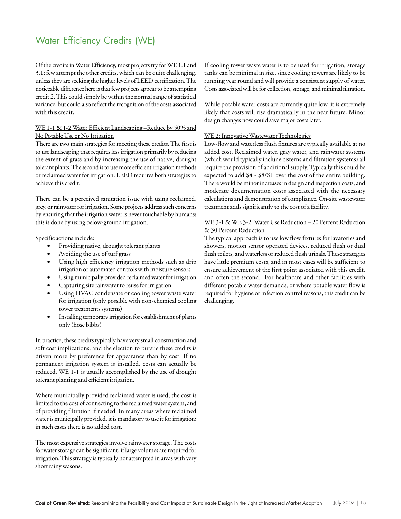# Water Efficiency Credits (WE)

Of the credits in Water Efficiency, most projects try for WE 1.1 and 3.1; few attempt the other credits, which can be quite challenging, unless they are seeking the higher levels of LEED certification. The noticeable difference here is that few projects appear to be attempting credit 2. This could simply be within the normal range of statistical variance, but could also reflect the recognition of the costs associated with this credit.

#### WE 1-1 & 1-2 Water Efficient Landscaping-Reduce by 50% and No Potable Use or No Irrigation

There are two main strategies for meeting these credits. The first is to use landscaping that requires less irrigation primarily by reducing the extent of grass and by increasing the use of native, drought tolerant plants. The second is to use more efficient irrigation methods or reclaimed water for irrigation. LEED requires both strategies to achieve this credit.

There can be a perceived sanitation issue with using reclaimed, grey, or rainwater for irrigation. Some projects address such concerns by ensuring that the irrigation water is never touchable by humans; this is done by using below-ground irrigation.

Specific actions include:

- Providing native, drought tolerant plants
- Avoiding the use of turf grass
- Using high efficiency irrigation methods such as drip irrigation or automated controls with moisture sensors
- Using municipally provided reclaimed water for irrigation
- Capturing site rainwater to reuse for irrigation
- Using HVAC condensate or cooling tower waste water for irrigation (only possible with non-chemical cooling tower treatments systems)
- Installing temporary irrigation for establishment of plants only (hose bibbs)

In practice, these credits typically have very small construction and soft cost implications, and the election to pursue these credits is driven more by preference for appearance than by cost. If no permanent irrigation system is installed, costs can actually be reduced. WE 1-1 is usually accomplished by the use of drought tolerant planting and efficient irrigation.

Where municipally provided reclaimed water is used, the cost is limited to the cost of connecting to the reclaimed water system, and of providing filtration if needed. In many areas where reclaimed water is municipally provided, it is mandatory to use it for irrigation; in such cases there is no added cost.

The most expensive strategies involve rainwater storage. The costs for water storage can be significant, if large volumes are required for irrigation. This strategy is typically not attempted in areas with very short rainy seasons.

If cooling tower waste water is to be used for irrigation, storage tanks can be minimal in size, since cooling towers are likely to be running year round and will provide a consistent supply of water. Costs associated will be for collection, storage, and minimal filtration.

While potable water costs are currently quite low, it is extremely likely that costs will rise dramatically in the near future. Minor design changes now could save major costs later.

#### WE 2: Innovative Wastewater Technologies

Low-flow and waterless flush fixtures are typically available at no added cost. Reclaimed water, gray water, and rainwater systems (which would typically include cisterns and filtration systems) all require the provision of additional supply. Typically this could be expected to add \$4 - \$8/SF over the cost of the entire building. There would be minor increases in design and inspection costs, and moderate documentation costs associated with the necessary calculations and demonstration of compliance. On-site wastewater treatment adds significantly to the cost of a facility.

## WE 3-1 & WE 3-2: Water Use Reduction – 20 Percent Reduction & 30 Percent Reduction

The typical approach is to use low flow fixtures for lavatories and showers, motion sensor operated devices, reduced flush or dual flush toilets, and waterless or reduced flush urinals. These strategies have little premium costs, and in most cases will be sufficient to ensure achievement of the first point associated with this credit, and often the second. For healthcare and other facilities with different potable water demands, or where potable water flow is required for hygiene or infection control reasons, this credit can be challenging.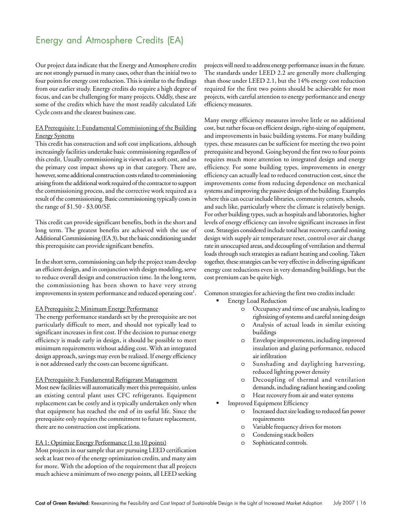# Energy and Atmosphere Credits (EA)

Our project data indicate that the Energy and Atmosphere credits are not strongly pursued in many cases, other than the initial two to four points for energy cost reduction. This is similar to the findings from our earlier study. Energy credits do require a high degree of focus, and can be challenging for many projects. Oddly, these are some of the credits which have the most readily calculated Life Cycle costs and the clearest business case.

## EA Prerequisite 1: Fundamental Commissioning of the Building Energy Systems

This credit has construction and soft cost implications, although increasingly facilities undertake basic commissioning regardless of this credit. Usually commissioning is viewed as a soft cost, and so the primary cost impact shows up in that category. There are, however, some additional construction costs related to commissioning arising from the additional work required of the contractor to support the commissioning process, and the corrective work required as a result of the commissioning. Basic commissioning typically costs in the range of \$1.50 - \$3.00/SF.

This credit can provide significant benefits, both in the short and long term. The greatest benefits are achieved with the use of Additional Commissioning (EA 3), but the basic conditioning under this prerequisite can provide significant benefits.

In the short term, commissioning can help the project team develop an efficient design, and in conjunction with design modeling, serve to reduce overall design and construction time. In the long term, the commissioning has been shown to have very strong improvements in system performance and reduced operating  $\mathrm{cost}^1$ .

#### EA Prerequisite 2: Minimum Energy Performance

The energy performance standards set by the prerequisite are not particularly difficult to meet, and should not typically lead to significant increases in first cost. If the decision to pursue energy efficiency is made early in design, it should be possible to meet minimum requirements without adding cost. With an integrated design approach, savings may even be realized. If energy efficiency is not addressed early the costs can become significant.

#### EA Prerequisite 3: Fundamental Refrigerant Management

Most new facilities will automatically meet this prerequisite, unless an existing central plant uses CFC refrigerants. Equipment replacement can be costly and is typically undertaken only when that equipment has reached the end of its useful life. Since the prerequisite only requires the commitment to future replacement, there are no construction cost implications.

#### EA 1: Optimize Energy Performance (1 to 10 points)

Most projects in our sample that are pursuing LEED certification seek at least two of the energy optimization credits, and many aim for more. With the adoption of the requirement that all projects much achieve a minimum of two energy points, all LEED seeking projects will need to address energy performance issues in the future. The standards under LEED 2.2 are generally more challenging than those under LEED 2.1, but the 14% energy cost reduction required for the first two points should be achievable for most projects, with careful attention to energy performance and energy efficiency measures.

Many energy efficiency measures involve little or no additional cost, but rather focus on efficient design, right-sizing of equipment, and improvements in basic building systems. For many building types, these measures can be sufficient for meeting the two point prerequisite and beyond. Going beyond the first two to four points requires much more attention to integrated design and energy efficiency. For some building types, improvements in energy efficiency can actually lead to reduced construction cost, since the improvements come from reducing dependence on mechanical systems and improving the passive design of the building. Examples where this can occur include libraries, community centers, schools, and such like, particularly where the climate is relatively benign. For other building types, such as hospitals and laboratories, higher levels of energy efficiency can involve significant increases in first cost. Strategies considered include total heat recovery, careful zoning design with supply air temperature reset, control over air change rate in unoccupied areas, and decoupling of ventilation and thermal loads through such strategies as radiant heating and cooling. Taken together, these strategies can be very effective in delivering significant energy cost reductions even in very demanding buildings, but the cost premium can be quite high.

Common strategies for achieving the first two credits include:

- Energy Load Reduction
	- o Occupancy and time of use analysis, leading to rightsizing of systems and careful zoning design
	- o Analysis of actual loads in similar existing buildings
	- Envelope improvements, including improved insulation and glazing performance, reduced air infiltration
	- o Sunshading and daylighting harvesting, reduced lighting power density
	- o Decoupling of thermal and ventilation demands, including radiant heating and cooling
	- o Heat recovery from air and water systems
- Improved Equipment Efficiency
	- Increased duct size leading to reduced fan power requirements
	- o Variable frequency drives for motors
	- o Condensing stack boilers
	- Sophisticated controls.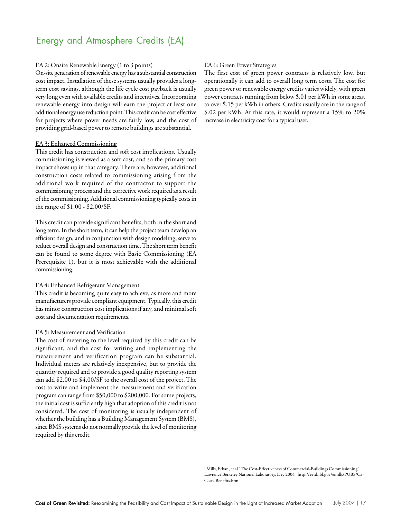# Energy and Atmosphere Credits (EA)

#### EA 2: Onsite Renewable Energy (1 to 3 points)

On-site generation of renewable energy has a substantial construction cost impact. Installation of these systems usually provides a longterm cost savings, although the life cycle cost payback is usually very long even with available credits and incentives. Incorporating renewable energy into design will earn the project at least one additional energy use reduction point. This credit can be cost effective for projects where power needs are fairly low, and the cost of providing grid-based power to remote buildings are substantial.

#### EA 3: Enhanced Commissioning

This credit has construction and soft cost implications. Usually commissioning is viewed as a soft cost, and so the primary cost impact shows up in that category. There are, however, additional construction costs related to commissioning arising from the additional work required of the contractor to support the commissioning process and the corrective work required as a result of the commissioning. Additional commissioning typically costs in the range of \$1.00 - \$2.00/SF.

This credit can provide significant benefits, both in the short and long term. In the short term, it can help the project team develop an efficient design, and in conjunction with design modeling, serve to reduce overall design and construction time. The short term benefit can be found to some degree with Basic Commissioning (EA Prerequisite 1), but it is most achievable with the additional commissioning.

### EA 4: Enhanced Refrigerant Management

This credit is becoming quite easy to achieve, as more and more manufacturers provide compliant equipment. Typically, this credit has minor construction cost implications if any, and minimal soft cost and documentation requirements.

#### EA 5: Measurement and Verification

The cost of metering to the level required by this credit can be significant, and the cost for writing and implementing the measurement and verification program can be substantial. Individual meters are relatively inexpensive, but to provide the quantity required and to provide a good quality reporting system can add \$2.00 to \$4.00/SF to the overall cost of the project. The cost to write and implement the measurement and verification program can range from \$50,000 to \$200,000. For some projects, the initial cost is sufficiently high that adoption of this credit is not considered. The cost of monitoring is usually independent of whether the building has a Building Management System (BMS), since BMS systems do not normally provide the level of monitoring required by this credit.

## EA 6: Green Power Strategies

The first cost of green power contracts is relatively low, but operationally it can add to overall long term costs. The cost for green power or renewable energy credits varies widely, with green power contracts running from below \$.01 per kWh in some areas, to over \$.15 per kWh in others. Credits usually are in the range of \$.02 per kWh. At this rate, it would represent a 15% to 20% increase in electricity cost for a typical user.

<sup>1</sup> Mills, Ethan, et al "The Cost-Effectiveness of Commercial-Buildings Commissioning" Lawrence Berkeley National Laboratory, Dec 2004 | http://eetd.lbl.gov/emills/PUBS/Cx-Costs-Benefits.html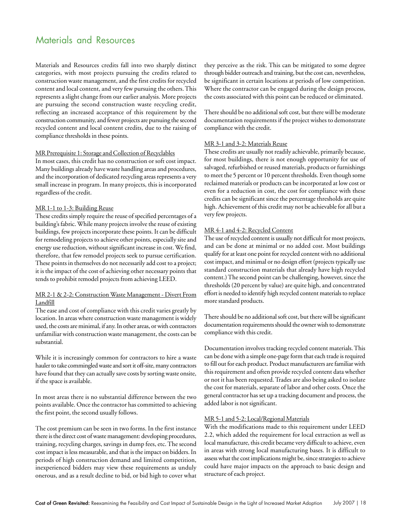# Materials and Resources

Materials and Resources credits fall into two sharply distinct categories, with most projects pursuing the credits related to construction waste management, and the first credits for recycled content and local content, and very few pursuing the others. This represents a slight change from our earlier analysis. More projects are pursuing the second construction waste recycling credit, reflecting an increased acceptance of this requirement by the construction community, and fewer projects are pursuing the second recycled content and local content credits, due to the raising of compliance thresholds in these points.

#### MR Prerequisite 1: Storage and Collection of Recyclables

In most cases, this credit has no construction or soft cost impact. Many buildings already have waste handling areas and procedures, and the incorporation of dedicated recycling areas represents a very small increase in program. In many projects, this is incorporated regardless of the credit.

#### MR 1-1 to 1-3: Building Reuse

These credits simply require the reuse of specified percentages of a building's fabric. While many projects involve the reuse of existing buildings, few projects incorporate these points. It can be difficult for remodeling projects to achieve other points, especially site and energy use reduction, without significant increase in cost. We find, therefore, that few remodel projects seek to pursue certification. These points in themselves do not necessarily add cost to a project; it is the impact of the cost of achieving other necessary points that tends to prohibit remodel projects from achieving LEED.

## MR 2-1 & 2-2: Construction Waste Management - Divert From Landfill

The ease and cost of compliance with this credit varies greatly by location. In areas where construction waste management is widely used, the costs are minimal, if any. In other areas, or with contractors unfamiliar with construction waste management, the costs can be substantial.

While it is increasingly common for contractors to hire a waste hauler to take commingled waste and sort it off-site, many contractors have found that they can actually save costs by sorting waste onsite, if the space is available.

In most areas there is no substantial difference between the two points available. Once the contractor has committed to achieving the first point, the second usually follows.

The cost premium can be seen in two forms. In the first instance there is the direct cost of waste management: developing procedures, training, recycling charges, savings in dump fees, etc. The second cost impact is less measurable, and that is the impact on bidders. In periods of high construction demand and limited competition, inexperienced bidders may view these requirements as unduly onerous, and as a result decline to bid, or bid high to cover what

they perceive as the risk. This can be mitigated to some degree through bidder outreach and training, but the cost can, nevertheless, be significant in certain locations at periods of low competition. Where the contractor can be engaged during the design process, the costs associated with this point can be reduced or eliminated.

There should be no additional soft cost, but there will be moderate documentation requirements if the project wishes to demonstrate compliance with the credit.

## MR 3-1 and 3-2: Materials Reuse

These credits are usually not readily achievable, primarily because, for most buildings, there is not enough opportunity for use of salvaged, refurbished or reused materials, products or furnishings to meet the 5 percent or 10 percent thresholds. Even though some reclaimed materials or products can be incorporated at low cost or even for a reduction in cost, the cost for compliance with these credits can be significant since the percentage thresholds are quite high. Achievement of this credit may not be achievable for all but a very few projects.

## MR 4-1 and 4-2: Recycled Content

The use of recycled content is usually not difficult for most projects, and can be done at minimal or no added cost. Most buildings qualify for at least one point for recycled content with no additional cost impact, and minimal or no design effort (projects typically use standard construction materials that already have high recycled content.) The second point can be challenging, however, since the thresholds (20 percent by value) are quite high, and concentrated effort is needed to identify high recycled content materials to replace more standard products.

There should be no additional soft cost, but there will be significant documentation requirements should the owner wish to demonstrate compliance with this credit.

Documentation involves tracking recycled content materials. This can be done with a simple one-page form that each trade is required to fill out for each product. Product manufacturers are familiar with this requirement and often provide recycled content data whether or not it has been requested. Trades are also being asked to isolate the cost for materials, separate of labor and other costs. Once the general contractor has set up a tracking document and process, the added labor is not significant.

#### MR 5-1 and 5-2: Local/Regional Materials

With the modifications made to this requirement under LEED 2.2, which added the requirement for local extraction as well as local manufacture, this credit became very difficult to achieve, even in areas with strong local manufacturing bases. It is difficult to assess what the cost implications might be, since strategies to achieve could have major impacts on the approach to basic design and structure of each project.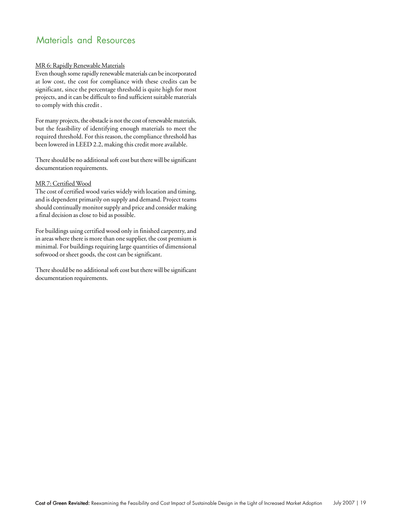# Materials and Resources

## MR 6: Rapidly Renewable Materials

Even though some rapidly renewable materials can be incorporated at low cost, the cost for compliance with these credits can be significant, since the percentage threshold is quite high for most projects, and it can be difficult to find sufficient suitable materials to comply with this credit .

For many projects, the obstacle is not the cost of renewable materials, but the feasibility of identifying enough materials to meet the required threshold. For this reason, the compliance threshold has been lowered in LEED 2.2, making this credit more available.

There should be no additional soft cost but there will be significant documentation requirements.

## MR 7: Certified Wood

The cost of certified wood varies widely with location and timing, and is dependent primarily on supply and demand. Project teams should continually monitor supply and price and consider making a final decision as close to bid as possible.

For buildings using certified wood only in finished carpentry, and in areas where there is more than one supplier, the cost premium is minimal. For buildings requiring large quantities of dimensional softwood or sheet goods, the cost can be significant.

There should be no additional soft cost but there will be significant documentation requirements.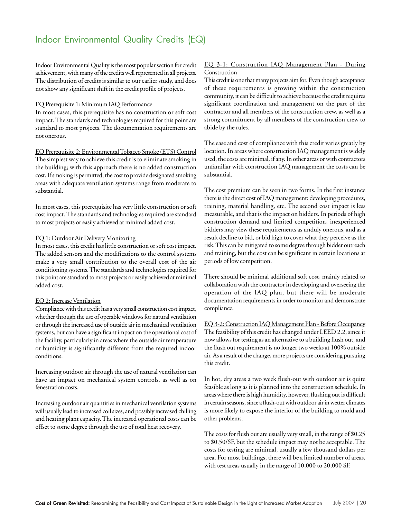# Indoor Environmental Quality Credits (EQ)

Indoor Environmental Quality is the most popular section for credit achievement, with many of the credits well represented in all projects. The distribution of credits is similar to our earlier study, and does not show any significant shift in the credit profile of projects.

#### EQ Prerequisite 1: Minimum IAQ Performance

In most cases, this prerequisite has no construction or soft cost impact. The standards and technologies required for this point are standard to most projects. The documentation requirements are not onerous.

EQ Prerequisite 2: Environmental Tobacco Smoke (ETS) Control The simplest way to achieve this credit is to eliminate smoking in the building; with this approach there is no added construction cost. If smoking is permitted, the cost to provide designated smoking areas with adequate ventilation systems range from moderate to substantial.

In most cases, this prerequisite has very little construction or soft cost impact. The standards and technologies required are standard to most projects or easily achieved at minimal added cost.

#### EQ 1: Outdoor Air Delivery Monitoring

In most cases, this credit has little construction or soft cost impact. The added sensors and the modifications to the control systems make a very small contribution to the overall cost of the air conditioning systems. The standards and technologies required for this point are standard to most projects or easily achieved at minimal added cost.

#### EQ 2: Increase Ventilation

Compliance with this credit has a very small construction cost impact, whether through the use of operable windows for natural ventilation or through the increased use of outside air in mechanical ventilation systems, but can have a significant impact on the operational cost of the facility, particularly in areas where the outside air temperature or humidity is significantly different from the required indoor conditions.

Increasing outdoor air through the use of natural ventilation can have an impact on mechanical system controls, as well as on fenestration costs.

Increasing outdoor air quantities in mechanical ventilation systems will usually lead to increased coil sizes, and possibly increased chilling and heating plant capacity. The increased operational costs can be offset to some degree through the use of total heat recovery.

## EQ 3-1: Construction IAQ Management Plan - During **Construction**

This credit is one that many projects aim for. Even though acceptance of these requirements is growing within the construction community, it can be difficult to achieve because the credit requires significant coordination and management on the part of the contractor and all members of the construction crew, as well as a strong commitment by all members of the construction crew to abide by the rules.

The ease and cost of compliance with this credit varies greatly by location. In areas where construction IAQ management is widely used, the costs are minimal, if any. In other areas or with contractors unfamiliar with construction IAQ management the costs can be substantial.

The cost premium can be seen in two forms. In the first instance there is the direct cost of IAQ management: developing procedures, training, material handling, etc. The second cost impact is less measurable, and that is the impact on bidders. In periods of high construction demand and limited competition, inexperienced bidders may view these requirements as unduly onerous, and as a result decline to bid, or bid high to cover what they perceive as the risk. This can be mitigated to some degree through bidder outreach and training, but the cost can be significant in certain locations at periods of low competition.

There should be minimal additional soft cost, mainly related to collaboration with the contractor in developing and overseeing the operation of the IAQ plan, but there will be moderate documentation requirements in order to monitor and demonstrate compliance.

EQ 3-2: Construction IAQ Management Plan - Before Occupancy The feasibility of this credit has changed under LEED 2.2, since it now allows for testing as an alternative to a building flush out, and the flush out requirement is no longer two weeks at 100% outside air. As a result of the change, more projects are considering pursuing this credit.

In hot, dry areas a two week flush-out with outdoor air is quite feasible as long as it is planned into the construction schedule. In areas where there is high humidity, however, flushing out is difficult in certain seasons, since a flush-out with outdoor air in wetter climates is more likely to expose the interior of the building to mold and other problems.

The costs for flush out are usually very small, in the range of \$0.25 to \$0.50/SF, but the schedule impact may not be acceptable. The costs for testing are minimal, usually a few thousand dollars per area. For most buildings, there will be a limited number of areas, with test areas usually in the range of 10,000 to 20,000 SF.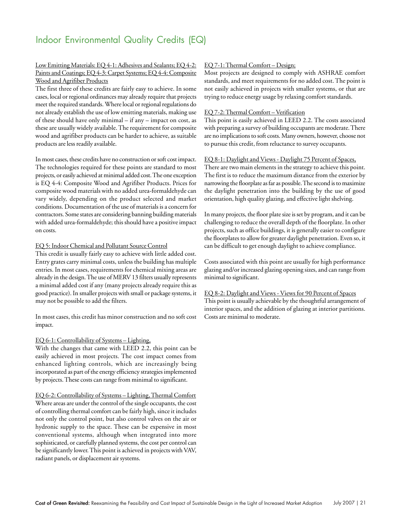# Indoor Environmental Quality Credits (EQ)

## Low Emitting Materials: EQ 4-1: Adhesives and Sealants; EQ 4-2: Paints and Coatings; EQ 4-3: Carpet Systems; EQ 4-4: Composite Wood and Agrifiber Products

The first three of these credits are fairly easy to achieve. In some cases, local or regional ordinances may already require that projects meet the required standards. Where local or regional regulations do not already establish the use of low emitting materials, making use of these should have only minimal – if any – impact on cost, as these are usually widely available. The requirement for composite wood and agrifiber products can be harder to achieve, as suitable products are less readily available.

In most cases, these credits have no construction or soft cost impact. The technologies required for these points are standard to most projects, or easily achieved at minimal added cost. The one exception is EQ 4-4: Composite Wood and Agrifiber Products. Prices for composite wood materials with no added urea-formaldehyde can vary widely, depending on the product selected and market conditions. Documentation of the use of materials is a concern for contractors. Some states are considering banning building materials with added urea-formaldehyde; this should have a positive impact on costs.

#### EQ 5: Indoor Chemical and Pollutant Source Control

This credit is usually fairly easy to achieve with little added cost. Entry grates carry minimal costs, unless the building has multiple entries. In most cases, requirements for chemical mixing areas are already in the design. The use of MERV 13 filters usually represents a minimal added cost if any (many projects already require this as good practice). In smaller projects with small or package systems, it may not be possible to add the filters.

In most cases, this credit has minor construction and no soft cost impact.

## EQ 6-1: Controllability of Systems – Lighting,

With the changes that came with LEED 2.2, this point can be easily achieved in most projects. The cost impact comes from enhanced lighting controls, which are increasingly being incorporated as part of the energy efficiency strategies implemented by projects. These costs can range from minimal to significant.

## EQ 6-2: Controllability of Systems – Lighting, Thermal Comfort

Where areas are under the control of the single occupants, the cost of controlling thermal comfort can be fairly high, since it includes not only the control point, but also control valves on the air or hydronic supply to the space. These can be expensive in most conventional systems, although when integrated into more sophisticated, or carefully planned systems, the cost per control can be significantly lower. This point is achieved in projects with VAV, radiant panels, or displacement air systems.

## EQ 7-1: Thermal Comfort – Design;

Most projects are designed to comply with ASHRAE comfort standards, and meet requirements for no added cost. The point is not easily achieved in projects with smaller systems, or that are trying to reduce energy usage by relaxing comfort standards.

## EQ 7-2: Thermal Comfort – Verification

This point is easily achieved in LEED 2.2. The costs associated with preparing a survey of building occupants are moderate. There are no implications to soft costs. Many owners, however, choose not to pursue this credit, from reluctance to survey occupants.

## EQ 8-1: Daylight and Views - Daylight 75 Percent of Spaces,

There are two main elements in the strategy to achieve this point. The first is to reduce the maximum distance from the exterior by narrowing the floorplate as far as possible. The second is to maximize the daylight penetration into the building by the use of good orientation, high quality glazing, and effective light shelving.

In many projects, the floor plate size is set by program, and it can be challenging to reduce the overall depth of the floorplate. In other projects, such as office buildings, it is generally easier to configure the floorplates to allow for greater daylight penetration. Even so, it can be difficult to get enough daylight to achieve compliance.

Costs associated with this point are usually for high performance glazing and/or increased glazing opening sizes, and can range from minimal to significant.

## EQ 8-2: Daylight and Views - Views for 90 Percent of Spaces This point is usually achievable by the thoughtful arrangement of interior spaces, and the addition of glazing at interior partitions. Costs are minimal to moderate.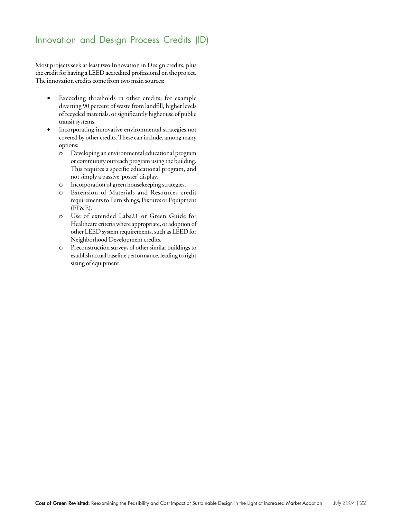# Innovation and Design Process Credits (ID)

Most projects seek at least two Innovation in Design credits, plus the credit for having a LEED accredited professional on the project. The innovation credits come from two main sources:

- Exceeding thresholds in other credits, for example diverting 90 percent of waste from landfill, higher levels of recycled materials, or significantly higher use of public transit systems.
- Incorporating innovative environmental strategies not covered by other credits. These can include, among many options:
	- o Developing an environmental educational program or community outreach program using the building. This requires a specific educational program, and not simply a passive 'poster' display.
	- o Incorporation of green housekeeping strategies.
	- o Extension of Materials and Resources credit requirements to Furnishings, Fixtures or Equipment (FF&E).
	- o Use of extended Labs21 or Green Guide for Healthcare criteria where appropriate, or adoption of other LEED system requirements, such as LEED for Neighborhood Development credits.
	- o Preconstruction surveys of other similar buildings to establish actual baseline performance, leading to right sizing of equipment.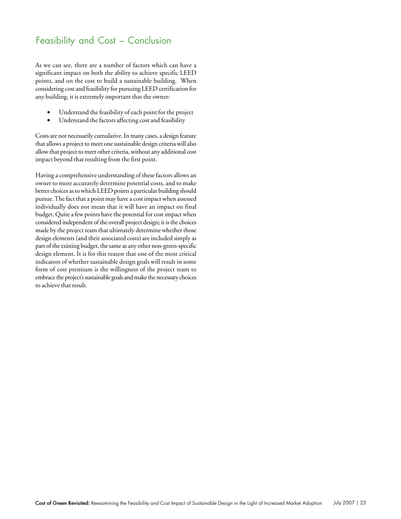# Feasibility and Cost – Conclusion

As we can see, there are a number of factors which can have a significant impact on both the ability to achieve specific LEED points, and on the cost to build a sustainable building. When considering cost and feasibility for pursuing LEED certification for any building, it is extremely important that the owner:

- Understand the feasibility of each point for the project
- Understand the factors affecting cost and feasibility

Costs are not necessarily cumulative. In many cases, a design feature that allows a project to meet one sustainable design criteria will also allow that project to meet other criteria, without any additional cost impact beyond that resulting from the first point.

Having a comprehensive understanding of these factors allows an owner to more accurately determine potential costs, and to make better choices as to which LEED points a particular building should pursue. The fact that a point may have a cost impact when assessed individually does not mean that it will have an impact on final budget. Quite a few points have the potential for cost impact when considered independent of the overall project design; it is the choices made by the project team that ultimately determine whether those design elements (and their associated costs) are included simply as part of the existing budget, the same as any other non-green-specific design element. It is for this reason that one of the most critical indicators of whether sustainable design goals will result in some form of cost premium is the willingness of the project team to embrace the project's sustainable goals and make the necessary choices to achieve that result.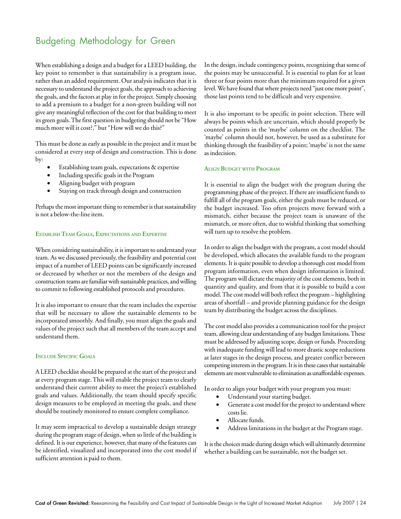# Budgeting Methodology for Green

When establishing a design and a budget for a LEED building, the key point to remember is that sustainability is a program issue, rather than an added requirement. Our analysis indicates that it is necessary to understand the project goals, the approach to achieving the goals, and the factors at play in for the project. Simply choosing to add a premium to a budget for a non-green building will not give any meaningful reflection of the cost for that building to meet its green goals. The first question in budgeting should not be "How much more will it cost?," but "How will we do this?"

This must be done as early as possible in the project and it must be considered at every step of design and construction. This is done by:

- Establishing team goals, expectations & expertise
- Including specific goals in the Program
- Aligning budget with program
- Staying on track through design and construction

Perhaps the most important thing to remember is that sustainability is not a below-the-line item.

## **ESTABLISH TEAM GOALS, EXPECTATIONS AND EXPERTISE**

When considering sustainability, it is important to understand your team. As we discussed previously, the feasibility and potential cost impact of a number of LEED points can be significantly increased or decreased by whether or not the members of the design and construction teams are familiar with sustainable practices, and willing to commit to following established protocols and procedures.

It is also important to ensure that the team includes the expertise that will be necessary to allow the sustainable elements to be incorporated smoothly. And finally, you must align the goals and values of the project such that all members of the team accept and understand them.

#### **INCLUDE SPECIFIC GOALS**

A LEED checklist should be prepared at the start of the project and at every program stage. This will enable the project team to clearly understand their current ability to meet the project's established goals and values. Additionally, the team should specify specific design measures to be employed in meeting the goals, and these should be routinely monitored to ensure complete compliance.

It may seem impractical to develop a sustainable design strategy during the program stage of design, when so little of the building is defined. It is our experience, however, that many of the features can be identified, visualized and incorporated into the cost model if sufficient attention is paid to them.

In the design, include contingency points, recognizing that some of the points may be unsuccessful. It is essential to plan for at least three or four points more than the minimum required for a given level. We have found that where projects need "just one more point", those last points tend to be difficult and very expensive.

It is also important to be specific in point selection. There will always be points which are uncertain, which should properly be counted as points in the 'maybe' column on the checklist. The 'maybe' column should not, however, be used as a substitute for thinking through the feasibility of a point; 'maybe' is not the same as indecision.

#### **ALIGN BUDGET WITH PROGRAM**

It is essential to align the budget with the program during the programming phase of the project. If there are insufficient funds to fulfill all of the program goals, either the goals must be reduced, or the budget increased. Too often projects move forward with a mismatch, either because the project team is unaware of the mismatch, or more often, due to wishful thinking that something will turn up to resolve the problem.

In order to align the budget with the program, a cost model should be developed, which allocates the available funds to the program elements. It is quite possible to develop a thorough cost model from program information, even when design information is limited. The program will dictate the majority of the cost elements, both in quantity and quality, and from that it is possible to build a cost model. The cost model will both reflect the program – highlighting areas of shortfall – and provide planning guidance for the design team by distributing the budget across the disciplines.

The cost model also provides a communication tool for the project team, allowing clear understanding of any budget limitations. These must be addressed by adjusting scope, design or funds. Proceeding with inadequate funding will lead to more drastic scope reductions at later stages in the design process, and greater conflict between competing interests in the program. It is in these cases that sustainable elements are most vulnerable to elimination as unaffordable expenses.

In order to align your budget with your program you must:

- Understand your starting budget.
- Generate a cost model for the project to understand where costs lie.
- Allocate funds.
- Address limitations in the budget at the Program stage.

It is the choices made during design which will ultimately determine whether a building can be sustainable, not the budget set.